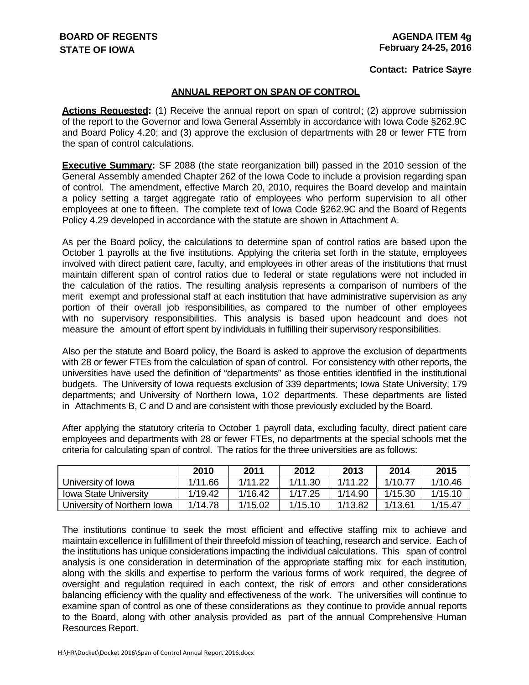#### **Contact: Patrice Sayre**

#### **ANNUAL REPORT ON SPAN OF CONTROL**

**Actions Requested:** (1) Receive the annual report on span of control; (2) approve submission of the report to the Governor and Iowa General Assembly in accordance with Iowa Code §262.9C and Board Policy 4.20; and (3) approve the exclusion of departments with 28 or fewer FTE from the span of control calculations.

**Executive Summary:** SF 2088 (the state reorganization bill) passed in the 2010 session of the General Assembly amended Chapter 262 of the Iowa Code to include a provision regarding span of control. The amendment, effective March 20, 2010, requires the Board develop and maintain a policy setting a target aggregate ratio of employees who perform supervision to all other employees at one to fifteen. The complete text of Iowa Code §262.9C and the Board of Regents Policy 4.29 developed in accordance with the statute are shown in Attachment A.

As per the Board policy, the calculations to determine span of control ratios are based upon the October 1 payrolls at the five institutions. Applying the criteria set forth in the statute, employees involved with direct patient care, faculty, and employees in other areas of the institutions that must maintain different span of control ratios due to federal or state regulations were not included in the calculation of the ratios. The resulting analysis represents a comparison of numbers of the merit exempt and professional staff at each institution that have administrative supervision as any portion of their overall job responsibilities, as compared to the number of other employees with no supervisory responsibilities. This analysis is based upon headcount and does not measure the amount of effort spent by individuals in fulfilling their supervisory responsibilities.

Also per the statute and Board policy, the Board is asked to approve the exclusion of departments with 28 or fewer FTEs from the calculation of span of control. For consistency with other reports, the universities have used the definition of "departments" as those entities identified in the institutional budgets. The University of Iowa requests exclusion of 339 departments; Iowa State University, 179 departments; and University of Northern Iowa, 102 departments. These departments are listed in Attachments B, C and D and are consistent with those previously excluded by the Board.

After applying the statutory criteria to October 1 payroll data, excluding faculty, direct patient care employees and departments with 28 or fewer FTEs, no departments at the special schools met the criteria for calculating span of control. The ratios for the three universities are as follows:

|                              | 2010    | 2011    | 2012    | 2013    | 2014    | 2015    |
|------------------------------|---------|---------|---------|---------|---------|---------|
| University of Iowa           | 1/11.66 | 1/11.22 | 1/11.30 | 1/11.22 | 1/10.77 | 1/10.46 |
| <b>Iowa State University</b> | 1/19.42 | 1/16.42 | 1/17.25 | 1/14.90 | 1/15.30 | 1/15.10 |
| University of Northern Iowa  | 1/14.78 | 1/15.02 | 1/15.10 | 1/13.82 | 1/13.61 | 1/15.47 |

The institutions continue to seek the most efficient and effective staffing mix to achieve and maintain excellence in fulfillment of their threefold mission of teaching, research and service. Each of the institutions has unique considerations impacting the individual calculations. This span of control analysis is one consideration in determination of the appropriate staffing mix for each institution, along with the skills and expertise to perform the various forms of work required, the degree of oversight and regulation required in each context, the risk of errors and other considerations balancing efficiency with the quality and effectiveness of the work. The universities will continue to examine span of control as one of these considerations as they continue to provide annual reports to the Board, along with other analysis provided as part of the annual Comprehensive Human Resources Report.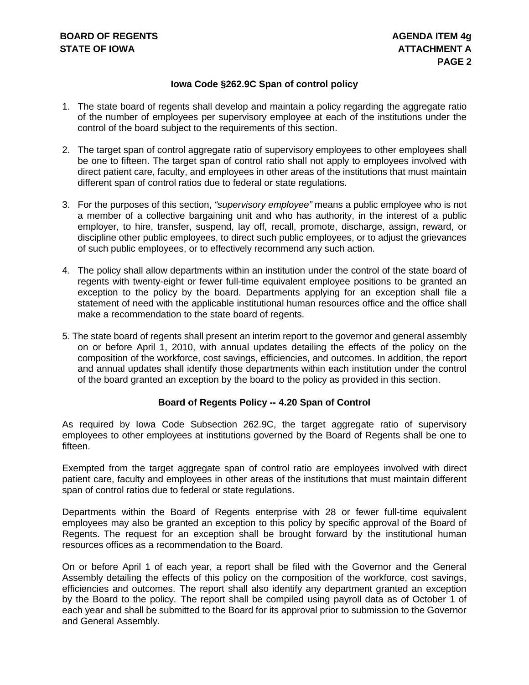#### **Iowa Code §262.9C Span of control policy**

- 1. The state board of regents shall develop and maintain a policy regarding the aggregate ratio of the number of employees per supervisory employee at each of the institutions under the control of the board subject to the requirements of this section.
- 2. The target span of control aggregate ratio of supervisory employees to other employees shall be one to fifteen. The target span of control ratio shall not apply to employees involved with direct patient care, faculty, and employees in other areas of the institutions that must maintain different span of control ratios due to federal or state regulations.
- 3. For the purposes of this section, *"supervisory employee"* means a public employee who is not a member of a collective bargaining unit and who has authority, in the interest of a public employer, to hire, transfer, suspend, lay off, recall, promote, discharge, assign, reward, or discipline other public employees, to direct such public employees, or to adjust the grievances of such public employees, or to effectively recommend any such action.
- 4. The policy shall allow departments within an institution under the control of the state board of regents with twenty-eight or fewer full-time equivalent employee positions to be granted an exception to the policy by the board. Departments applying for an exception shall file a statement of need with the applicable institutional human resources office and the office shall make a recommendation to the state board of regents.
- 5. The state board of regents shall present an interim report to the governor and general assembly on or before April 1, 2010, with annual updates detailing the effects of the policy on the composition of the workforce, cost savings, efficiencies, and outcomes. In addition, the report and annual updates shall identify those departments within each institution under the control of the board granted an exception by the board to the policy as provided in this section.

#### **Board of Regents Policy -- 4.20 Span of Control**

As required by Iowa Code Subsection 262.9C, the target aggregate ratio of supervisory employees to other employees at institutions governed by the Board of Regents shall be one to fifteen.

Exempted from the target aggregate span of control ratio are employees involved with direct patient care, faculty and employees in other areas of the institutions that must maintain different span of control ratios due to federal or state regulations.

Departments within the Board of Regents enterprise with 28 or fewer full-time equivalent employees may also be granted an exception to this policy by specific approval of the Board of Regents. The request for an exception shall be brought forward by the institutional human resources offices as a recommendation to the Board.

On or before April 1 of each year, a report shall be filed with the Governor and the General Assembly detailing the effects of this policy on the composition of the workforce, cost savings, efficiencies and outcomes. The report shall also identify any department granted an exception by the Board to the policy. The report shall be compiled using payroll data as of October 1 of each year and shall be submitted to the Board for its approval prior to submission to the Governor and General Assembly.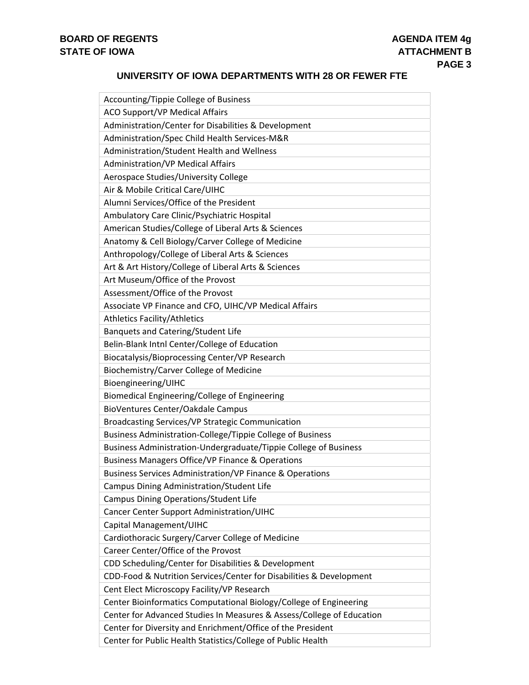#### **UNIVERSITY OF IOWA DEPARTMENTS WITH 28 OR FEWER FTE**

| Accounting/Tippie College of Business                                 |
|-----------------------------------------------------------------------|
| <b>ACO Support/VP Medical Affairs</b>                                 |
| Administration/Center for Disabilities & Development                  |
| Administration/Spec Child Health Services-M&R                         |
| Administration/Student Health and Wellness                            |
| <b>Administration/VP Medical Affairs</b>                              |
| Aerospace Studies/University College                                  |
| Air & Mobile Critical Care/UIHC                                       |
| Alumni Services/Office of the President                               |
| Ambulatory Care Clinic/Psychiatric Hospital                           |
| American Studies/College of Liberal Arts & Sciences                   |
| Anatomy & Cell Biology/Carver College of Medicine                     |
| Anthropology/College of Liberal Arts & Sciences                       |
| Art & Art History/College of Liberal Arts & Sciences                  |
| Art Museum/Office of the Provost                                      |
| Assessment/Office of the Provost                                      |
| Associate VP Finance and CFO, UIHC/VP Medical Affairs                 |
| <b>Athletics Facility/Athletics</b>                                   |
| Banquets and Catering/Student Life                                    |
| Belin-Blank Intnl Center/College of Education                         |
| Biocatalysis/Bioprocessing Center/VP Research                         |
| Biochemistry/Carver College of Medicine                               |
| Bioengineering/UIHC                                                   |
| Biomedical Engineering/College of Engineering                         |
| BioVentures Center/Oakdale Campus                                     |
| Broadcasting Services/VP Strategic Communication                      |
| Business Administration-College/Tippie College of Business            |
| Business Administration-Undergraduate/Tippie College of Business      |
| <b>Business Managers Office/VP Finance &amp; Operations</b>           |
| Business Services Administration/VP Finance & Operations              |
| Campus Dining Administration/Student Life                             |
| Campus Dining Operations/Student Life                                 |
| Cancer Center Support Administration/UIHC                             |
| Capital Management/UIHC                                               |
| Cardiothoracic Surgery/Carver College of Medicine                     |
| Career Center/Office of the Provost                                   |
| CDD Scheduling/Center for Disabilities & Development                  |
| CDD-Food & Nutrition Services/Center for Disabilities & Development   |
| Cent Elect Microscopy Facility/VP Research                            |
| Center Bioinformatics Computational Biology/College of Engineering    |
| Center for Advanced Studies In Measures & Assess/College of Education |
| Center for Diversity and Enrichment/Office of the President           |
| Center for Public Health Statistics/College of Public Health          |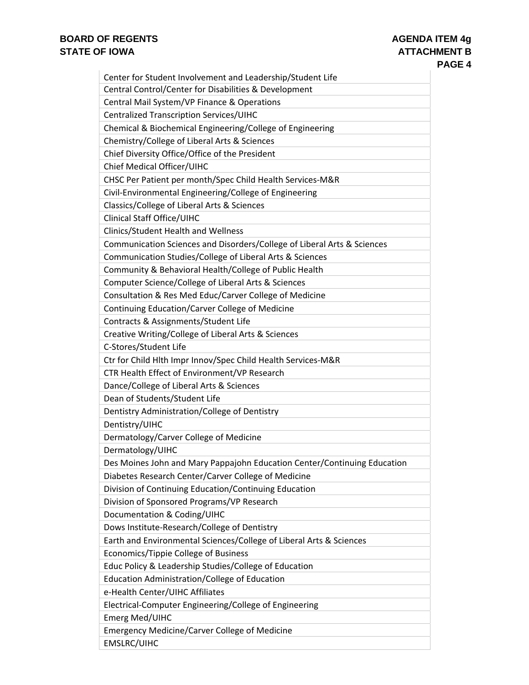| Center for Student Involvement and Leadership/Student Life               |
|--------------------------------------------------------------------------|
| Central Control/Center for Disabilities & Development                    |
| Central Mail System/VP Finance & Operations                              |
| Centralized Transcription Services/UIHC                                  |
| Chemical & Biochemical Engineering/College of Engineering                |
| Chemistry/College of Liberal Arts & Sciences                             |
| Chief Diversity Office/Office of the President                           |
| Chief Medical Officer/UIHC                                               |
| CHSC Per Patient per month/Spec Child Health Services-M&R                |
| Civil-Environmental Engineering/College of Engineering                   |
| Classics/College of Liberal Arts & Sciences                              |
| <b>Clinical Staff Office/UIHC</b>                                        |
| <b>Clinics/Student Health and Wellness</b>                               |
| Communication Sciences and Disorders/College of Liberal Arts & Sciences  |
| Communication Studies/College of Liberal Arts & Sciences                 |
| Community & Behavioral Health/College of Public Health                   |
| Computer Science/College of Liberal Arts & Sciences                      |
| Consultation & Res Med Educ/Carver College of Medicine                   |
| Continuing Education/Carver College of Medicine                          |
| Contracts & Assignments/Student Life                                     |
| Creative Writing/College of Liberal Arts & Sciences                      |
| C-Stores/Student Life                                                    |
| Ctr for Child Hlth Impr Innov/Spec Child Health Services-M&R             |
| CTR Health Effect of Environment/VP Research                             |
| Dance/College of Liberal Arts & Sciences                                 |
| Dean of Students/Student Life                                            |
| Dentistry Administration/College of Dentistry                            |
| Dentistry/UIHC                                                           |
| Dermatology/Carver College of Medicine                                   |
| Dermatology/UIHC                                                         |
| Des Moines John and Mary Pappajohn Education Center/Continuing Education |
| Diabetes Research Center/Carver College of Medicine                      |
| Division of Continuing Education/Continuing Education                    |
| Division of Sponsored Programs/VP Research                               |
| Documentation & Coding/UIHC                                              |
| Dows Institute-Research/College of Dentistry                             |
| Earth and Environmental Sciences/College of Liberal Arts & Sciences      |
| Economics/Tippie College of Business                                     |
| Educ Policy & Leadership Studies/College of Education                    |
| Education Administration/College of Education                            |
| e-Health Center/UIHC Affiliates                                          |
| Electrical-Computer Engineering/College of Engineering                   |
| <b>Emerg Med/UIHC</b>                                                    |
| <b>Emergency Medicine/Carver College of Medicine</b>                     |
| <b>EMSLRC/UIHC</b>                                                       |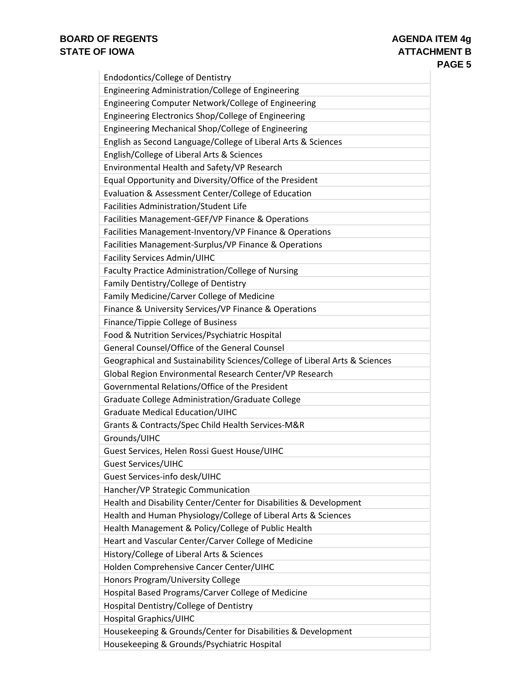| Endodontics/College of Dentistry                                            |
|-----------------------------------------------------------------------------|
| Engineering Administration/College of Engineering                           |
| Engineering Computer Network/College of Engineering                         |
| Engineering Electronics Shop/College of Engineering                         |
| Engineering Mechanical Shop/College of Engineering                          |
| English as Second Language/College of Liberal Arts & Sciences               |
| English/College of Liberal Arts & Sciences                                  |
| Environmental Health and Safety/VP Research                                 |
| Equal Opportunity and Diversity/Office of the President                     |
| Evaluation & Assessment Center/College of Education                         |
| Facilities Administration/Student Life                                      |
| Facilities Management-GEF/VP Finance & Operations                           |
| Facilities Management-Inventory/VP Finance & Operations                     |
| Facilities Management-Surplus/VP Finance & Operations                       |
| Facility Services Admin/UIHC                                                |
| Faculty Practice Administration/College of Nursing                          |
| Family Dentistry/College of Dentistry                                       |
| Family Medicine/Carver College of Medicine                                  |
| Finance & University Services/VP Finance & Operations                       |
| Finance/Tippie College of Business                                          |
| Food & Nutrition Services/Psychiatric Hospital                              |
| General Counsel/Office of the General Counsel                               |
| Geographical and Sustainability Sciences/College of Liberal Arts & Sciences |
| Global Region Environmental Research Center/VP Research                     |
| Governmental Relations/Office of the President                              |
| Graduate College Administration/Graduate College                            |
| <b>Graduate Medical Education/UIHC</b>                                      |
| Grants & Contracts/Spec Child Health Services-M&R                           |
| Grounds/UIHC                                                                |
| Guest Services, Helen Rossi Guest House/UIHC                                |
| <b>Guest Services/UIHC</b>                                                  |
| Guest Services-info desk/UIHC                                               |
| Hancher/VP Strategic Communication                                          |
| Health and Disability Center/Center for Disabilities & Development          |
| Health and Human Physiology/College of Liberal Arts & Sciences              |
| Health Management & Policy/College of Public Health                         |
| Heart and Vascular Center/Carver College of Medicine                        |
| History/College of Liberal Arts & Sciences                                  |
| Holden Comprehensive Cancer Center/UIHC                                     |
| Honors Program/University College                                           |
| Hospital Based Programs/Carver College of Medicine                          |
| Hospital Dentistry/College of Dentistry                                     |
| <b>Hospital Graphics/UIHC</b>                                               |
| Housekeeping & Grounds/Center for Disabilities & Development                |
| Housekeeping & Grounds/Psychiatric Hospital                                 |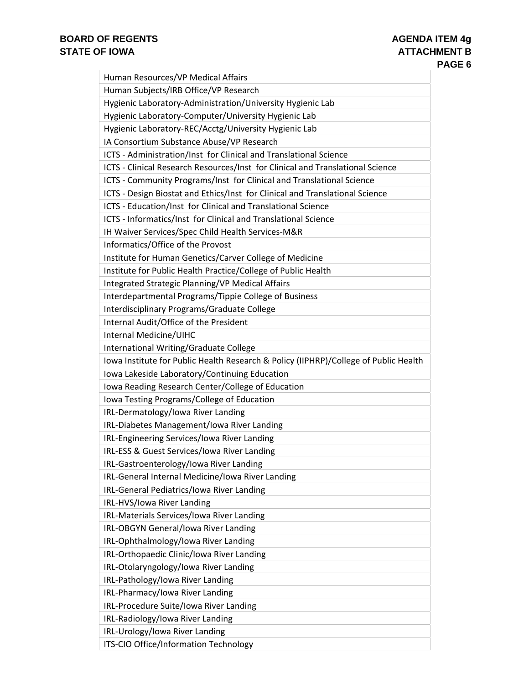| Human Resources/VP Medical Affairs                                                   |
|--------------------------------------------------------------------------------------|
| Human Subjects/IRB Office/VP Research                                                |
| Hygienic Laboratory-Administration/University Hygienic Lab                           |
| Hygienic Laboratory-Computer/University Hygienic Lab                                 |
| Hygienic Laboratory-REC/Acctg/University Hygienic Lab                                |
| IA Consortium Substance Abuse/VP Research                                            |
| ICTS - Administration/Inst for Clinical and Translational Science                    |
| ICTS - Clinical Research Resources/Inst for Clinical and Translational Science       |
| ICTS - Community Programs/Inst for Clinical and Translational Science                |
| ICTS - Design Biostat and Ethics/Inst for Clinical and Translational Science         |
| ICTS - Education/Inst for Clinical and Translational Science                         |
| ICTS - Informatics/Inst for Clinical and Translational Science                       |
| IH Waiver Services/Spec Child Health Services-M&R                                    |
| Informatics/Office of the Provost                                                    |
| Institute for Human Genetics/Carver College of Medicine                              |
| Institute for Public Health Practice/College of Public Health                        |
| Integrated Strategic Planning/VP Medical Affairs                                     |
| Interdepartmental Programs/Tippie College of Business                                |
| Interdisciplinary Programs/Graduate College                                          |
| Internal Audit/Office of the President                                               |
| Internal Medicine/UIHC                                                               |
| International Writing/Graduate College                                               |
| Iowa Institute for Public Health Research & Policy (IIPHRP)/College of Public Health |
| Iowa Lakeside Laboratory/Continuing Education                                        |
| Iowa Reading Research Center/College of Education                                    |
| Iowa Testing Programs/College of Education                                           |
| IRL-Dermatology/Iowa River Landing                                                   |
| IRL-Diabetes Management/Iowa River Landing                                           |
| IRL-Engineering Services/Iowa River Landing                                          |
| IRL-ESS & Guest Services/Iowa River Landing                                          |
| IRL-Gastroenterology/Iowa River Landing                                              |
| IRL-General Internal Medicine/Iowa River Landing                                     |
| IRL-General Pediatrics/Iowa River Landing<br>IRL-HVS/Iowa River Landing              |
| IRL-Materials Services/Iowa River Landing                                            |
| IRL-OBGYN General/Iowa River Landing                                                 |
| IRL-Ophthalmology/Iowa River Landing                                                 |
| IRL-Orthopaedic Clinic/Iowa River Landing                                            |
| IRL-Otolaryngology/Iowa River Landing                                                |
| IRL-Pathology/Iowa River Landing                                                     |
| IRL-Pharmacy/Iowa River Landing                                                      |
| IRL-Procedure Suite/Iowa River Landing                                               |
| IRL-Radiology/Iowa River Landing                                                     |
| IRL-Urology/Iowa River Landing                                                       |
| ITS-CIO Office/Information Technology                                                |
|                                                                                      |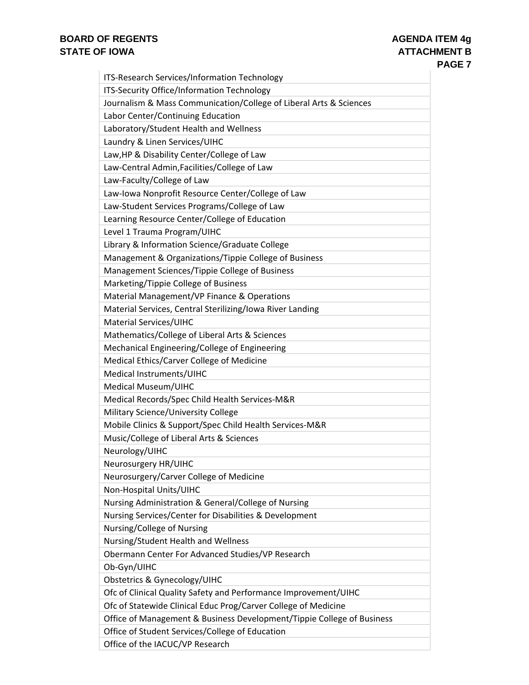| ITS-Research Services/Information Technology                           |
|------------------------------------------------------------------------|
| ITS-Security Office/Information Technology                             |
| Journalism & Mass Communication/College of Liberal Arts & Sciences     |
| Labor Center/Continuing Education                                      |
| Laboratory/Student Health and Wellness                                 |
| Laundry & Linen Services/UIHC                                          |
| Law, HP & Disability Center/College of Law                             |
| Law-Central Admin, Facilities/College of Law                           |
| Law-Faculty/College of Law                                             |
| Law-Iowa Nonprofit Resource Center/College of Law                      |
| Law-Student Services Programs/College of Law                           |
| Learning Resource Center/College of Education                          |
| Level 1 Trauma Program/UIHC                                            |
| Library & Information Science/Graduate College                         |
| Management & Organizations/Tippie College of Business                  |
| Management Sciences/Tippie College of Business                         |
| Marketing/Tippie College of Business                                   |
| Material Management/VP Finance & Operations                            |
| Material Services, Central Sterilizing/Iowa River Landing              |
| <b>Material Services/UIHC</b>                                          |
| Mathematics/College of Liberal Arts & Sciences                         |
| Mechanical Engineering/College of Engineering                          |
| Medical Ethics/Carver College of Medicine                              |
| Medical Instruments/UIHC                                               |
| Medical Museum/UIHC                                                    |
| Medical Records/Spec Child Health Services-M&R                         |
| Military Science/University College                                    |
| Mobile Clinics & Support/Spec Child Health Services-M&R                |
| Music/College of Liberal Arts & Sciences                               |
| Neurology/UIHC                                                         |
| Neurosurgery HR/UIHC                                                   |
| Neurosurgery/Carver College of Medicine                                |
| Non-Hospital Units/UIHC                                                |
| Nursing Administration & General/College of Nursing                    |
| Nursing Services/Center for Disabilities & Development                 |
| Nursing/College of Nursing                                             |
| Nursing/Student Health and Wellness                                    |
| Obermann Center For Advanced Studies/VP Research                       |
| Ob-Gyn/UIHC                                                            |
| Obstetrics & Gynecology/UIHC                                           |
| Ofc of Clinical Quality Safety and Performance Improvement/UIHC        |
| Ofc of Statewide Clinical Educ Prog/Carver College of Medicine         |
| Office of Management & Business Development/Tippie College of Business |
| Office of Student Services/College of Education                        |
| Office of the IACUC/VP Research                                        |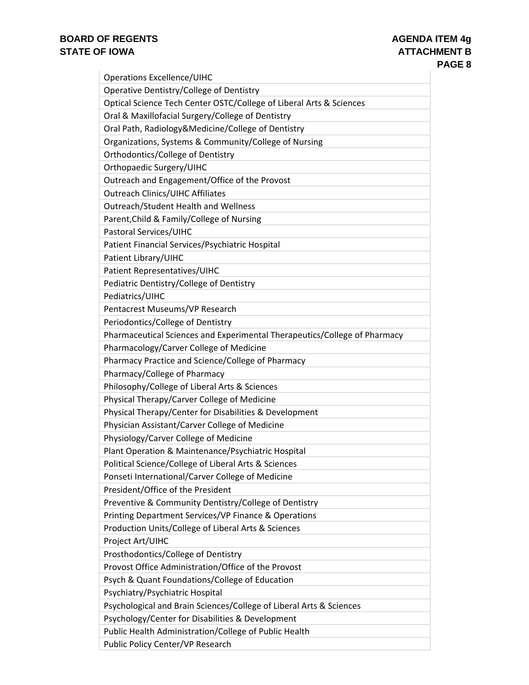| <b>Operations Excellence/UIHC</b>                                         |
|---------------------------------------------------------------------------|
| Operative Dentistry/College of Dentistry                                  |
| Optical Science Tech Center OSTC/College of Liberal Arts & Sciences       |
| Oral & Maxillofacial Surgery/College of Dentistry                         |
| Oral Path, Radiology&Medicine/College of Dentistry                        |
| Organizations, Systems & Community/College of Nursing                     |
| Orthodontics/College of Dentistry                                         |
| Orthopaedic Surgery/UIHC                                                  |
| Outreach and Engagement/Office of the Provost                             |
| <b>Outreach Clinics/UIHC Affiliates</b>                                   |
| Outreach/Student Health and Wellness                                      |
| Parent, Child & Family/College of Nursing                                 |
| Pastoral Services/UIHC                                                    |
| Patient Financial Services/Psychiatric Hospital                           |
| Patient Library/UIHC                                                      |
| Patient Representatives/UIHC                                              |
| Pediatric Dentistry/College of Dentistry                                  |
| Pediatrics/UIHC                                                           |
| Pentacrest Museums/VP Research                                            |
| Periodontics/College of Dentistry                                         |
| Pharmaceutical Sciences and Experimental Therapeutics/College of Pharmacy |
| Pharmacology/Carver College of Medicine                                   |
| Pharmacy Practice and Science/College of Pharmacy                         |
| Pharmacy/College of Pharmacy                                              |
| Philosophy/College of Liberal Arts & Sciences                             |
| Physical Therapy/Carver College of Medicine                               |
| Physical Therapy/Center for Disabilities & Development                    |
| Physician Assistant/Carver College of Medicine                            |
| Physiology/Carver College of Medicine                                     |
| Plant Operation & Maintenance/Psychiatric Hospital                        |
| Political Science/College of Liberal Arts & Sciences                      |
| Ponseti International/Carver College of Medicine                          |
| President/Office of the President                                         |
| Preventive & Community Dentistry/College of Dentistry                     |
| Printing Department Services/VP Finance & Operations                      |
| Production Units/College of Liberal Arts & Sciences                       |
| Project Art/UIHC                                                          |
| Prosthodontics/College of Dentistry                                       |
| Provost Office Administration/Office of the Provost                       |
| Psych & Quant Foundations/College of Education                            |
| Psychiatry/Psychiatric Hospital                                           |
| Psychological and Brain Sciences/College of Liberal Arts & Sciences       |
| Psychology/Center for Disabilities & Development                          |
| Public Health Administration/College of Public Health                     |
| Public Policy Center/VP Research                                          |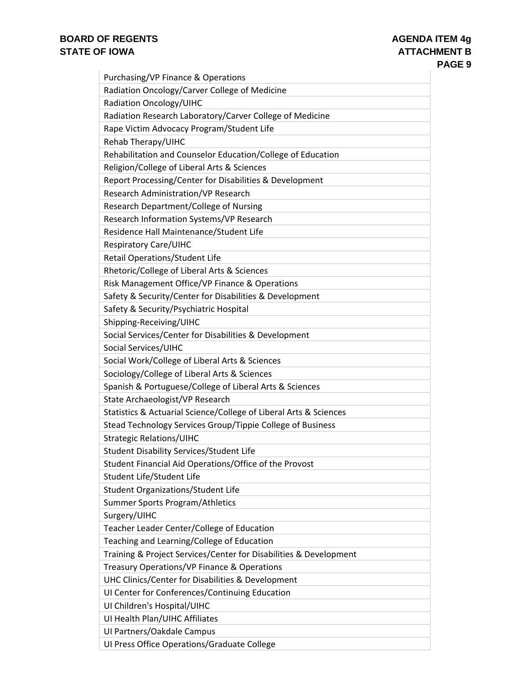| Purchasing/VP Finance & Operations                                |
|-------------------------------------------------------------------|
| Radiation Oncology/Carver College of Medicine                     |
| <b>Radiation Oncology/UIHC</b>                                    |
| Radiation Research Laboratory/Carver College of Medicine          |
| Rape Victim Advocacy Program/Student Life                         |
| Rehab Therapy/UIHC                                                |
| Rehabilitation and Counselor Education/College of Education       |
| Religion/College of Liberal Arts & Sciences                       |
| Report Processing/Center for Disabilities & Development           |
| Research Administration/VP Research                               |
| Research Department/College of Nursing                            |
| Research Information Systems/VP Research                          |
| Residence Hall Maintenance/Student Life                           |
| <b>Respiratory Care/UIHC</b>                                      |
| <b>Retail Operations/Student Life</b>                             |
| Rhetoric/College of Liberal Arts & Sciences                       |
| Risk Management Office/VP Finance & Operations                    |
| Safety & Security/Center for Disabilities & Development           |
| Safety & Security/Psychiatric Hospital                            |
| Shipping-Receiving/UIHC                                           |
| Social Services/Center for Disabilities & Development             |
| Social Services/UIHC                                              |
| Social Work/College of Liberal Arts & Sciences                    |
| Sociology/College of Liberal Arts & Sciences                      |
| Spanish & Portuguese/College of Liberal Arts & Sciences           |
| State Archaeologist/VP Research                                   |
| Statistics & Actuarial Science/College of Liberal Arts & Sciences |
| Stead Technology Services Group/Tippie College of Business        |
| <b>Strategic Relations/UIHC</b>                                   |
| <b>Student Disability Services/Student Life</b>                   |
| Student Financial Aid Operations/Office of the Provost            |
| Student Life/Student Life                                         |
| Student Organizations/Student Life                                |
| Summer Sports Program/Athletics                                   |
| Surgery/UIHC                                                      |
| Teacher Leader Center/College of Education                        |
| Teaching and Learning/College of Education                        |
| Training & Project Services/Center for Disabilities & Development |
| Treasury Operations/VP Finance & Operations                       |
| UHC Clinics/Center for Disabilities & Development                 |
| UI Center for Conferences/Continuing Education                    |
| UI Children's Hospital/UIHC                                       |
| UI Health Plan/UIHC Affiliates                                    |
| UI Partners/Oakdale Campus                                        |
| UI Press Office Operations/Graduate College                       |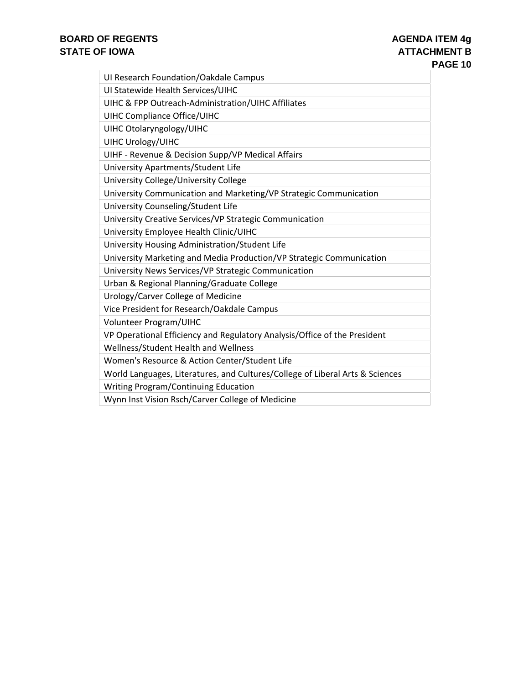| UI Research Foundation/Oakdale Campus                                         |
|-------------------------------------------------------------------------------|
| UI Statewide Health Services/UIHC                                             |
| UIHC & FPP Outreach-Administration/UIHC Affiliates                            |
| <b>UIHC Compliance Office/UIHC</b>                                            |
| UIHC Otolaryngology/UIHC                                                      |
| <b>UIHC Urology/UIHC</b>                                                      |
| UIHF - Revenue & Decision Supp/VP Medical Affairs                             |
| University Apartments/Student Life                                            |
| University College/University College                                         |
| University Communication and Marketing/VP Strategic Communication             |
| University Counseling/Student Life                                            |
| University Creative Services/VP Strategic Communication                       |
| University Employee Health Clinic/UIHC                                        |
| University Housing Administration/Student Life                                |
| University Marketing and Media Production/VP Strategic Communication          |
| University News Services/VP Strategic Communication                           |
| Urban & Regional Planning/Graduate College                                    |
| Urology/Carver College of Medicine                                            |
| Vice President for Research/Oakdale Campus                                    |
| Volunteer Program/UIHC                                                        |
| VP Operational Efficiency and Regulatory Analysis/Office of the President     |
| Wellness/Student Health and Wellness                                          |
| Women's Resource & Action Center/Student Life                                 |
| World Languages, Literatures, and Cultures/College of Liberal Arts & Sciences |
| <b>Writing Program/Continuing Education</b>                                   |
| Wynn Inst Vision Rsch/Carver College of Medicine                              |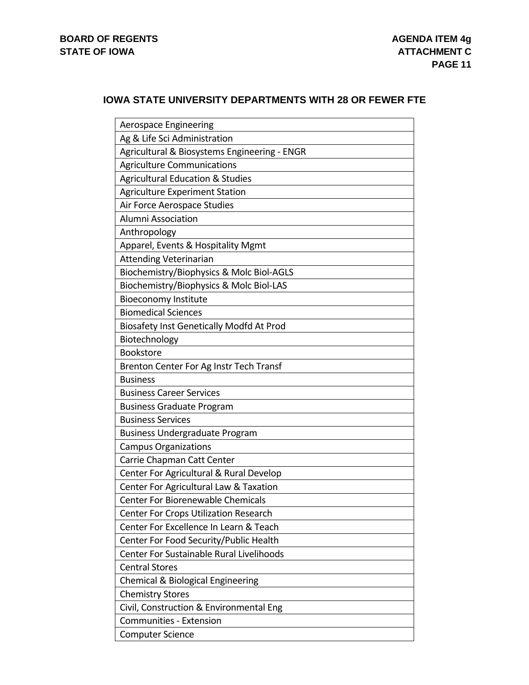#### **IOWA STATE UNIVERSITY DEPARTMENTS WITH 28 OR FEWER FTE**

| Aerospace Engineering                           |
|-------------------------------------------------|
| Ag & Life Sci Administration                    |
| Agricultural & Biosystems Engineering - ENGR    |
| <b>Agriculture Communications</b>               |
| <b>Agricultural Education &amp; Studies</b>     |
| <b>Agriculture Experiment Station</b>           |
| Air Force Aerospace Studies                     |
| <b>Alumni Association</b>                       |
| Anthropology                                    |
| Apparel, Events & Hospitality Mgmt              |
| <b>Attending Veterinarian</b>                   |
| Biochemistry/Biophysics & Molc Biol-AGLS        |
| Biochemistry/Biophysics & Molc Biol-LAS         |
| <b>Bioeconomy Institute</b>                     |
| <b>Biomedical Sciences</b>                      |
| Biosafety Inst Genetically Modfd At Prod        |
| Biotechnology                                   |
| <b>Bookstore</b>                                |
| Brenton Center For Ag Instr Tech Transf         |
| <b>Business</b>                                 |
| <b>Business Career Services</b>                 |
| <b>Business Graduate Program</b>                |
| <b>Business Services</b>                        |
| <b>Business Undergraduate Program</b>           |
| <b>Campus Organizations</b>                     |
| Carrie Chapman Catt Center                      |
| Center For Agricultural & Rural Develop         |
| Center For Agricultural Law & Taxation          |
| Center For Biorenewable Chemicals               |
| Center For Crops Utilization Research           |
| Center For Excellence In Learn & Teach          |
| Center For Food Security/Public Health          |
| <b>Center For Sustainable Rural Livelihoods</b> |
| <b>Central Stores</b>                           |
| Chemical & Biological Engineering               |
| <b>Chemistry Stores</b>                         |
| Civil, Construction & Environmental Eng         |
| Communities - Extension                         |
| <b>Computer Science</b>                         |
|                                                 |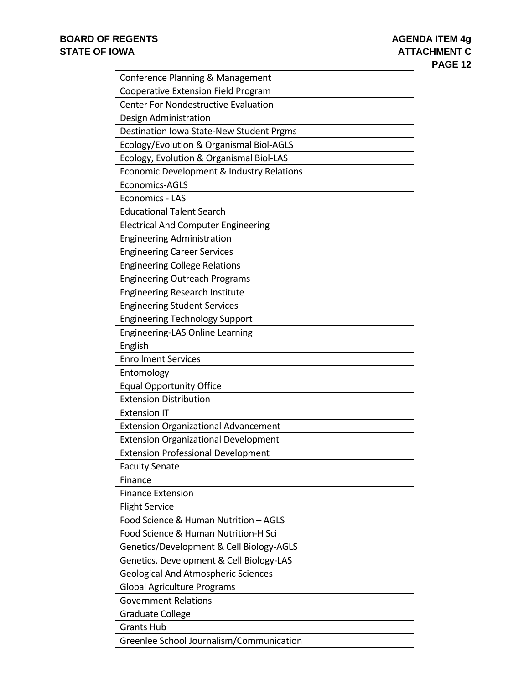| Conference Planning & Management            |
|---------------------------------------------|
| Cooperative Extension Field Program         |
| <b>Center For Nondestructive Evaluation</b> |
| Design Administration                       |
| Destination Iowa State-New Student Prgms    |
| Ecology/Evolution & Organismal Biol-AGLS    |
| Ecology, Evolution & Organismal Biol-LAS    |
| Economic Development & Industry Relations   |
| <b>Economics-AGLS</b>                       |
| Economics - LAS                             |
| <b>Educational Talent Search</b>            |
| <b>Electrical And Computer Engineering</b>  |
| <b>Engineering Administration</b>           |
| <b>Engineering Career Services</b>          |
| <b>Engineering College Relations</b>        |
| <b>Engineering Outreach Programs</b>        |
| Engineering Research Institute              |
| <b>Engineering Student Services</b>         |
| <b>Engineering Technology Support</b>       |
| Engineering-LAS Online Learning             |
| English                                     |
| <b>Enrollment Services</b>                  |
| Entomology                                  |
| <b>Equal Opportunity Office</b>             |
| <b>Extension Distribution</b>               |
| <b>Extension IT</b>                         |
| <b>Extension Organizational Advancement</b> |
| <b>Extension Organizational Development</b> |
| <b>Extension Professional Development</b>   |
| <b>Faculty Senate</b>                       |
| Finance                                     |
| <b>Finance Extension</b>                    |
| <b>Flight Service</b>                       |
| Food Science & Human Nutrition - AGLS       |
| Food Science & Human Nutrition-H Sci        |
| Genetics/Development & Cell Biology-AGLS    |
| Genetics, Development & Cell Biology-LAS    |
| <b>Geological And Atmospheric Sciences</b>  |
| <b>Global Agriculture Programs</b>          |
| <b>Government Relations</b>                 |
| <b>Graduate College</b>                     |
| <b>Grants Hub</b>                           |
| Greenlee School Journalism/Communication    |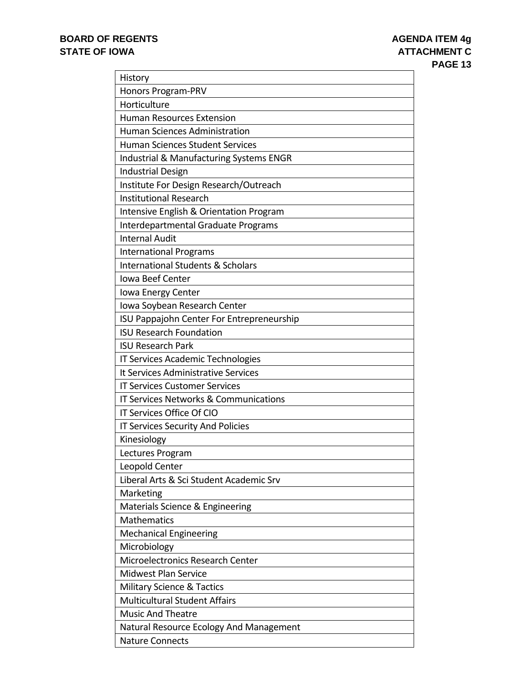| History                                      |
|----------------------------------------------|
| Honors Program-PRV                           |
| Horticulture                                 |
| <b>Human Resources Extension</b>             |
| <b>Human Sciences Administration</b>         |
| <b>Human Sciences Student Services</b>       |
| Industrial & Manufacturing Systems ENGR      |
| <b>Industrial Design</b>                     |
| Institute For Design Research/Outreach       |
| <b>Institutional Research</b>                |
| Intensive English & Orientation Program      |
| Interdepartmental Graduate Programs          |
| <b>Internal Audit</b>                        |
| <b>International Programs</b>                |
| <b>International Students &amp; Scholars</b> |
| Iowa Beef Center                             |
| Iowa Energy Center                           |
| Iowa Soybean Research Center                 |
| ISU Pappajohn Center For Entrepreneurship    |
| <b>ISU Research Foundation</b>               |
| <b>ISU Research Park</b>                     |
| IT Services Academic Technologies            |
| It Services Administrative Services          |
| <b>IT Services Customer Services</b>         |
| IT Services Networks & Communications        |
| IT Services Office Of CIO                    |
| IT Services Security And Policies            |
| Kinesiology                                  |
| Lectures Program                             |
| Leopold Center                               |
| Liberal Arts & Sci Student Academic Srv      |
| Marketing                                    |
| Materials Science & Engineering              |
| <b>Mathematics</b>                           |
| Mechanical Engineering                       |
| Microbiology                                 |
| <b>Microelectronics Research Center</b>      |
| <b>Midwest Plan Service</b>                  |
| <b>Military Science &amp; Tactics</b>        |
| <b>Multicultural Student Affairs</b>         |
| <b>Music And Theatre</b>                     |
| Natural Resource Ecology And Management      |
| <b>Nature Connects</b>                       |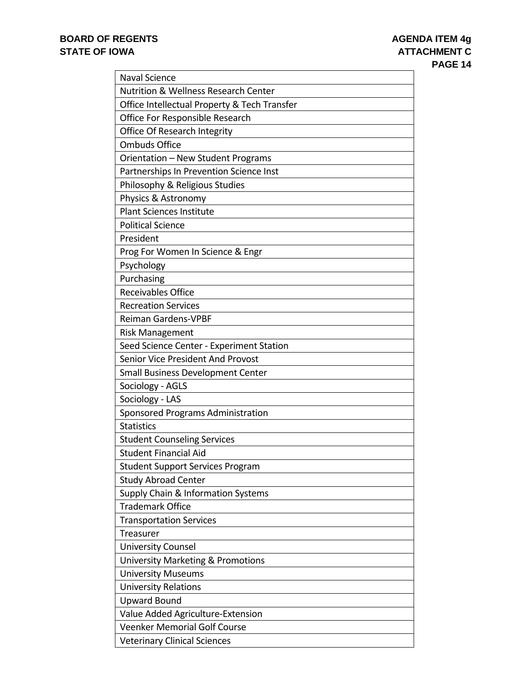| <b>Naval Science</b>                            |
|-------------------------------------------------|
| <b>Nutrition &amp; Wellness Research Center</b> |
| Office Intellectual Property & Tech Transfer    |
| Office For Responsible Research                 |
| Office Of Research Integrity                    |
| <b>Ombuds Office</b>                            |
| Orientation - New Student Programs              |
| Partnerships In Prevention Science Inst         |
| Philosophy & Religious Studies                  |
| Physics & Astronomy                             |
| <b>Plant Sciences Institute</b>                 |
| <b>Political Science</b>                        |
| President                                       |
| Prog For Women In Science & Engr                |
| Psychology                                      |
| Purchasing                                      |
| <b>Receivables Office</b>                       |
| <b>Recreation Services</b>                      |
| <b>Reiman Gardens-VPBF</b>                      |
| <b>Risk Management</b>                          |
| Seed Science Center - Experiment Station        |
| Senior Vice President And Provost               |
| <b>Small Business Development Center</b>        |
| Sociology - AGLS                                |
| Sociology - LAS                                 |
| Sponsored Programs Administration               |
| <b>Statistics</b>                               |
| <b>Student Counseling Services</b>              |
| <b>Student Financial Aid</b>                    |
| <b>Student Support Services Program</b>         |
| <b>Study Abroad Center</b>                      |
| Supply Chain & Information Systems              |
| <b>Trademark Office</b>                         |
| <b>Transportation Services</b>                  |
| Treasurer                                       |
| <b>University Counsel</b>                       |
| University Marketing & Promotions               |
| <b>University Museums</b>                       |
| <b>University Relations</b>                     |
| <b>Upward Bound</b>                             |
| Value Added Agriculture-Extension               |
| <b>Veenker Memorial Golf Course</b>             |
| <b>Veterinary Clinical Sciences</b>             |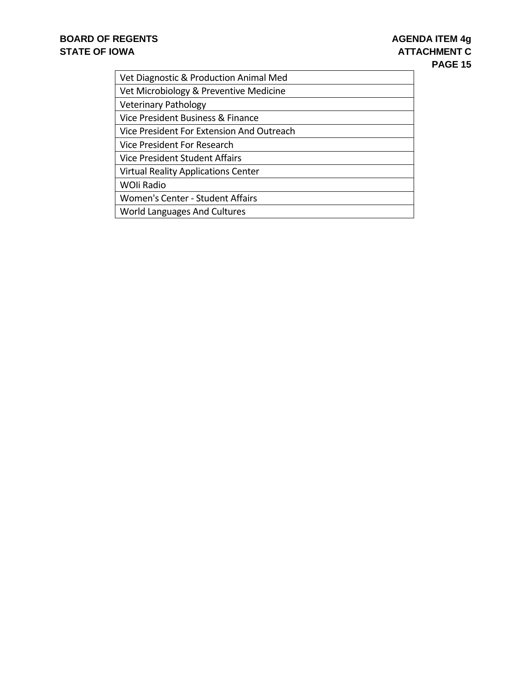| Vet Diagnostic & Production Animal Med     |
|--------------------------------------------|
| Vet Microbiology & Preventive Medicine     |
| <b>Veterinary Pathology</b>                |
| Vice President Business & Finance          |
| Vice President For Extension And Outreach  |
| Vice President For Research                |
| Vice President Student Affairs             |
| <b>Virtual Reality Applications Center</b> |
| <b>WOII Radio</b>                          |
| Women's Center - Student Affairs           |
| World Languages And Cultures               |
|                                            |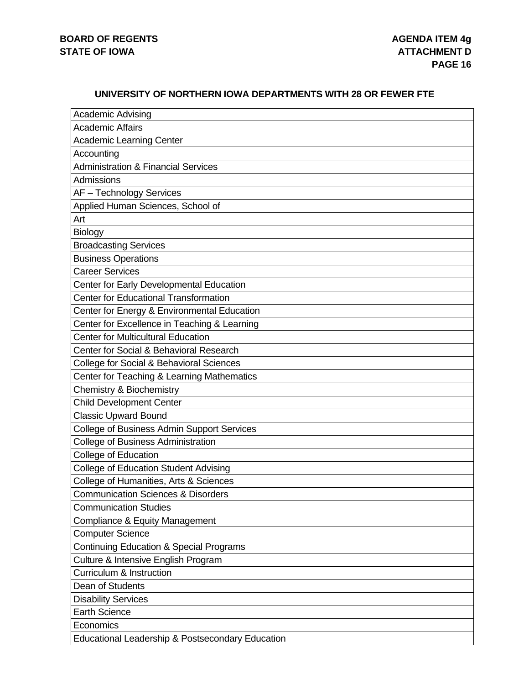#### **UNIVERSITY OF NORTHERN IOWA DEPARTMENTS WITH 28 OR FEWER FTE**

| <b>Academic Advising</b>                           |
|----------------------------------------------------|
| <b>Academic Affairs</b>                            |
| <b>Academic Learning Center</b>                    |
| Accounting                                         |
| <b>Administration &amp; Financial Services</b>     |
| Admissions                                         |
| AF - Technology Services                           |
| Applied Human Sciences, School of                  |
| Art                                                |
| Biology                                            |
| <b>Broadcasting Services</b>                       |
| <b>Business Operations</b>                         |
| <b>Career Services</b>                             |
| Center for Early Developmental Education           |
| <b>Center for Educational Transformation</b>       |
| Center for Energy & Environmental Education        |
| Center for Excellence in Teaching & Learning       |
| <b>Center for Multicultural Education</b>          |
| Center for Social & Behavioral Research            |
| College for Social & Behavioral Sciences           |
| Center for Teaching & Learning Mathematics         |
| <b>Chemistry &amp; Biochemistry</b>                |
| <b>Child Development Center</b>                    |
| <b>Classic Upward Bound</b>                        |
| College of Business Admin Support Services         |
| <b>College of Business Administration</b>          |
| College of Education                               |
| <b>College of Education Student Advising</b>       |
| College of Humanities, Arts & Sciences             |
| <b>Communication Sciences &amp; Disorders</b>      |
| <b>Communication Studies</b>                       |
| Compliance & Equity Management                     |
| <b>Computer Science</b>                            |
| <b>Continuing Education &amp; Special Programs</b> |
| Culture & Intensive English Program                |
| Curriculum & Instruction                           |
| Dean of Students                                   |
| <b>Disability Services</b>                         |
| <b>Earth Science</b>                               |
| Economics                                          |
| Educational Leadership & Postsecondary Education   |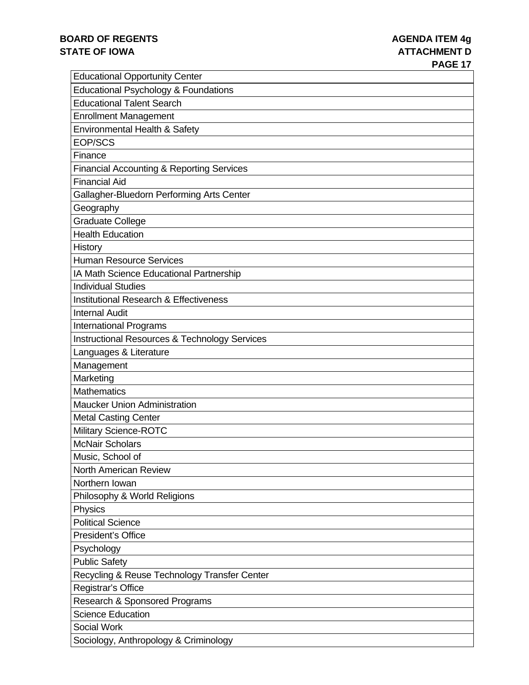| <b>Educational Opportunity Center</b>                |
|------------------------------------------------------|
| <b>Educational Psychology &amp; Foundations</b>      |
| <b>Educational Talent Search</b>                     |
| <b>Enrollment Management</b>                         |
| Environmental Health & Safety                        |
| EOP/SCS                                              |
| Finance                                              |
| <b>Financial Accounting &amp; Reporting Services</b> |
| <b>Financial Aid</b>                                 |
| Gallagher-Bluedorn Performing Arts Center            |
| Geography                                            |
| <b>Graduate College</b>                              |
| <b>Health Education</b>                              |
| History                                              |
| <b>Human Resource Services</b>                       |
| IA Math Science Educational Partnership              |
| <b>Individual Studies</b>                            |
| <b>Institutional Research &amp; Effectiveness</b>    |
| <b>Internal Audit</b>                                |
| <b>International Programs</b>                        |
| Instructional Resources & Technology Services        |
| Languages & Literature                               |
| Management                                           |
| Marketing                                            |
| <b>Mathematics</b>                                   |
| <b>Maucker Union Administration</b>                  |
| <b>Metal Casting Center</b>                          |
| <b>Military Science-ROTC</b>                         |
| <b>McNair Scholars</b>                               |
| Music, School of                                     |
| North American Review                                |
| Northern Iowan                                       |
| Philosophy & World Religions                         |
| Physics                                              |
| <b>Political Science</b>                             |
| President's Office                                   |
| Psychology                                           |
| <b>Public Safety</b>                                 |
| Recycling & Reuse Technology Transfer Center         |
| Registrar's Office                                   |
| <b>Research &amp; Sponsored Programs</b>             |
| <b>Science Education</b>                             |
| <b>Social Work</b>                                   |
| Sociology, Anthropology & Criminology                |